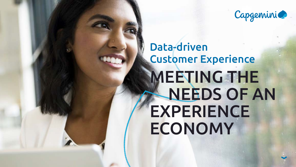# Data-driven Customer Experience MEETING THE NEEDS OF AN EXPERIENCE ECONOMY





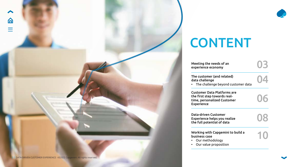# CONTENT

|                    | 03        |
|--------------------|-----------|
| J)<br>ustomer data | 04        |
| are<br>ļ-<br>ner   | 06        |
| ize                | 08        |
| o build a          | $\bigcap$ |



[Meeting the needs of an](#page-2-0)  experience economy

Data-driven Customer Experience helps you reali the full potential of data

Working with Capgemini to business case

The customer (and related) data challenge

• The challenge beyond cu

**Customer Data Platforms** the first step towards realtime, personalized Custom Experience

- Our methodology
- Our value proposition





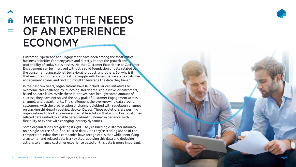## <span id="page-2-0"></span>MEETING THE NEEDS OF AN EXPERIENCE **ECONOMY**

Customer Experience and Engagement have been among the most critical business priorities for many years and directly impact the growth and profitability of today's businesses. Neither Customer Experience or Customer Engagement can be improved without a solid foundation of data related to the consumer (transactional, behavioral, product, and others. So, why is it that majority of organizations still struggle with lower-than-average customer engagement scores and find it difficult to leverage the data they have?

In the past few years, organizations have launched various initiatives to overcome this challenge by launching 360-degree single views of customers, based on data lakes. While these initiatives have brought some amount of success, they have not solved the holy grail of Customer Engagement across channels and departments. The challenge is the ever-growing data around customers, with the proliferation of channels clubbed with regulatory changes on tracking third-party cookies, device IDs, etc. These evolutions are pushing organizations to look at a more sustainable solution that would keep customerrelated data unified to enable personalized customer experience, with flexibility to evolve with changing industry dynamics.

Some organizations are getting it right. They're building customer intimacy on a single source of unified, trusted data. And they're striding ahead of the competition. What these companies have recognized is that while identifying a customer and related data is a key step, applying this data and deducing actions to enhance customer experience based on this data is more important.



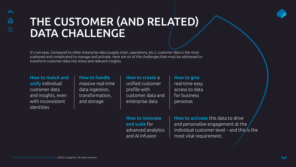It's not easy. Compared to other enterprise data (supply chain, operations, etc.), customer data is the most scattered and complicated to manage and activate. Here are six of the challenges that must be addressed to transform customer data into sharp and relevant insights.

# <span id="page-3-0"></span>THE CUSTOMER (AND RELATED) DATA CHALLENGE

How to match and unify individual customer data and insights, even with inconsistent identities

How to handle massive real-time data ingestion, transformation, and storage

How to give real-time easy access to data for business personas

How to activate this data to drive and personalize engagement at the individual customer level – and this is the most vital requirement.





How to create a unified customer profile with customer data and enterprise data

How to innovate and scale for advanced analytics and AI infusion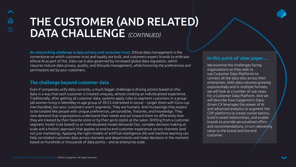An overarching challenge is data privacy and consumer trust. Ethical data management is the cornerstone on which customer trust and loyalty are built, and customers expect brands to embrace ethical AI as part of this. Data use is also governed by increased global data regulation, which requires mature data privacy, quality, and lifecycle management, while honoring the preferences and permissions set by your customers.

# THE CUSTOMER (AND RELATED) DATA CHALLENGE *(CONTINUED)*

### The challenge beyond customer data

Even if companies unify data correctly, a much bigger challenge is driving actions based on this data in a way that each customer is treated uniquely, almost creating an individualized experience. Traditionally, after getting all customer data, systems apply rules to segment customers in a group (all women living in Wembley in age group of 20-25 interested in soccer – target them with Euro cup merchandise), but your customers aren't segments. They are humans. And increasingly they expect to be treated like people with unique preferences, personalities, histories, and knowledge. They now demand that organizations understand their needs and act toward them no differently than they are treated by their favorite store or by their go-to stylist at the salon. Shifting from a customer segment model (rule based) to an individualized model demands fast, complex decision-making at scale and a holistic approach that applies to end-to-end customer experience across channels (and not just marketing). Applying the right models of artificial intelligence (AI) and machine learning can help correlated customer data across channels and departments and make decisions in the moment based on hundreds or thousands of data points – and at enterprise scale.

### In this point of view paper…

We examine the challenges facing organizations as they seek to use Customer Data Platforms to connect all the data silos across their enterprises. With data volumes growing exponentially and in multiple formats, we will look at a number of use cases for a Customer Data Platform. And we will describe how Capgemini's Datadriven CX leverages the power of AI and advanced analytics to augment the CDP platforms to create conversations, build trusted relationships, and enable brands to provide personalized offers and recommendations, in turn delivering value to the brand and the end customer.



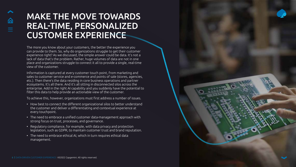The more you know about your customers, the better the experience you can provide to them. So, why do organizations struggle to get their customer experience right? As we discussed, the simple answer could be data. It's not a lack of data that's the problem. Rather, huge volumes of data are not in one place and organizations struggle to connect it all to provide a single, real-time view of the customer.

Information is captured at every customer touch point, from marketing and sales to customer service and e-commerce and points of sale (stores, agencies, etc.). Then there's the data residing in core business operations and partner ecosystems. It's all there. And it's all sitting in disconnected silos across the enterprise. Add in the right AI capability and you suddenly have the potential to filter this data to help provide an actionable view of the customer.

To achieve this, however, organizations must first address a number of issues.

- How best to connect the different organizational silos to better understand the customer and deliver a differentiating and contextual experience at every touchpoint.
- The need to embrace a unified customer data-management approach with strong focus on trust, processes, and governance.
- Regulatory compliance, for example, with data privacy and protection legislation, such as GDPR, to maintain customer trust and brand reputation.
- The need to embrace ethical AI, which in turn requires ethical data management.

### <span id="page-5-0"></span>MAKE THE MOVE TOWARDS REAL-TIME, PERSONALIZED CUSTOMER EXPERIENCE

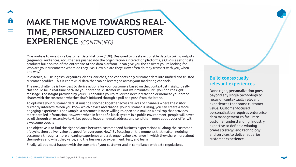### Build contextually relevant experiences

Done right, personalization goes beyond any single technology to focus on contextually relevant experiences that boost customer value. Customer-focused personalization requires enterprise data management to facilitate customer understanding, industry expertise to define a winning brand strategy, and technology and services to deliver superior customer experience.

One route is to invest in a Customer Data Platform (CDP). Designed to create actionable data by taking outputs (segments, audiences, etc.) that are pushed into the organization's interaction platforms, a CDP is a set of data products built on top of the enterprise AI and data platform. It can give you the answers you're looking for. Who are your customers? Where do they live? How old are they? How often do they transact with you, when and why?

In essence, a CDP ingests, organizes, cleans, enriches, and connects only customer data into unified and trusted customer profiles. This is contextual data that can be leveraged across your marketing channels.

The next challenge is how best to derive actions for your customers based on that contextual insight. Ideally, this should be in real-time because your potential customer will not wait minutes until you find the right message. The insight provided by your CDP enables you to tailor the next interaction or moment your brand shares with the customer, whether that's initiated through a pull or a push from the brand.

To optimize your customer data, it must be stitched together across devices or channels where the visitor currently interacts. When you know which device and channel your customer is using, you can create a more engaging experience. For example, a customer is more willing to open an e-mail on a desktop that provides more detailed information. However, when in front of a kiosk system in a public environment, people will never scroll through an extensive text. Let people leave an e-mail address and send them more about your offer with a welcome voucher.

The objective is to find the right balance between customer and business expectations all along the customer lifecycle, then deliver value at speed for everyone. How? By focusing on the moments that matter, nudging customers through a more engaging experience and a stronger value exchange in which they share more about themselves and what they value, and the business to experiment, test, and learn.

Finally, all this must happen with the consent of your customer and in compliance with data regulations.

### MAKE THE MOVE TOWARDS REAL-TIME, PERSONALIZED CUSTOMER EXPERIENCE *(CONTINUED)*

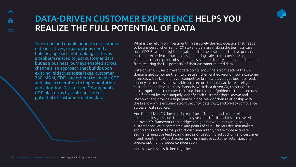To extend and enable benefits of customer data initiatives, organizations need a holistic approach, not looking at this as a problem related to just customer data but as a business journeys enabled across channels, an approach that builds upon existing initiatives (data lakes, customer 360, MDM, CDP, and others) to enable CDP and give acceleration to implementation and adoption. Data-driven CX augments CDP platforms by realizing the full potential of customer-related data.

<span id="page-7-0"></span>

### DATA-DRIVEN CUSTOMER EXPERIENCE HELPS YOU REALIZE THE FULL POTENTIAL OF DATA

What is the return on investment? This is surely the first question that needs to be answered when senior CX stakeholders are making the business case for a CDP. Beyond delighted, loyal, and lifetime customers, the five primary customer-experience touchpoints (marketing, sales, customer service, e-commerce, and points of sale) derive several efficiency and revenue benefits from realizing the full potential of their customer-related data.

Data-driven CX uses different data points and signals from each of the CX domains and combines them to create a richer, unified view of how a customer interacts with a brand or even competitor brands. It leverages business-ready journeys, AI models, and scalable architecture to rapidly activate intelligent customer experiences across channels. With data-driven CX, companies can stitch together all customer-first functions to build "golden customer records" – unified profiles that uniquely identify each customer (both known and unknown) and provide a high-quality, global view of their relationship with the brand – while ensuring strong security, data trust, and privacy compliance across all data sources.

And Data-driven CX does this in real time, offering brands more reliable, actionable insights from the data they've collected. It enables use cases via a proven KPI framework that bridges the gap between marketing, sales, customer service, e-commerce, and points of sale. This lets decision-makers spot trends and patterns, predict customer intent, create more accurate segments, improve lead scoring and prioritization, predict churn and customer intent, identify next-best action or offer, improve customer retention, and predict optimum product configuration.

Here's how it is all stitched together.





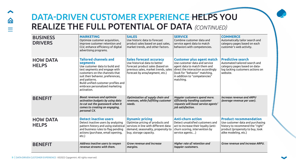仚

### DATA-DRIVEN CUSTOMER EXPERIENCE HELPS YOU REALIZE THE FULL POTENTIAL OF DATA *(CONTINUED)*

| <b>BUSINESS</b><br><b>DRIVERS</b> | <b>MARKETING</b><br>Optimize customer acquisition,<br>improve customer retention and<br>CLV, enhance efficiency of digital<br>advertising programs.                                                                                                                                         | <b>SALES</b><br>Use historic data to forecast<br>product sales based on past sales,<br>market trends, and other factors.                                                       | <b>SERVICE</b><br>Combine customer data and<br>service agent data to match<br>behaviors with competencies.                                                                                                              | <b>COMM</b><br>Automal<br>category<br>custome                  |
|-----------------------------------|---------------------------------------------------------------------------------------------------------------------------------------------------------------------------------------------------------------------------------------------------------------------------------------------|--------------------------------------------------------------------------------------------------------------------------------------------------------------------------------|-------------------------------------------------------------------------------------------------------------------------------------------------------------------------------------------------------------------------|----------------------------------------------------------------|
| <b>HOW DATA</b><br><b>HELPS</b>   | <b>Tailored channels and</b><br>segments<br>Use customer data to build and<br>test segments and engage with<br>customers on the channels that<br>suit their behavior, preferences,<br>and patterns.<br>Build unified customer profiles and<br>embrace personalized marketing<br>activation. | <b>Sales forecast accuracy</b><br>Use historical data to better<br>forecast product sales (based on<br>previous sales, market trends, sales<br>forecast by area/segment, etc.) | <b>Customer plus agent match</b><br>Use customer data and service<br>agent data to match them and<br>direct the interaction accordingly<br>(look for "behavior" matching,<br>in addition to "competencies"<br>matching. | <b>Predict</b><br>Automal<br>category<br>log tacki<br>website. |
| <b>BENEFIT</b>                    | <b>Boost revenues and optimize</b><br>activation budgets by using data<br>to cut out the guesswork when it<br>comes to creating an engaging,<br>personal CX.                                                                                                                                | Optimization of supply chain and<br>revenues, while fulfilling customer<br>needs.                                                                                              | Happier customers spend more.<br><b>Efficiently handling customer</b><br>requests will boost service agents'<br>job satisfaction.                                                                                       | <b>Increase</b><br>(average                                    |
| <b>HOW DATA</b><br><b>HELPS</b>   | <b>Detect inactive users</b><br>Detect inactive users by analyzing<br>pattern history and using statistical<br>and business rules to flag pending<br>actions (purchase, email opening,<br>etc.)                                                                                             | <b>Dynamic pricing</b><br>Optimize pricing of products and<br>services in line with different data:<br>demand, seasonality, propensity to<br>buy, storage capacity.            | <b>Anti-churn action</b><br>Detect unsatisfied customers and<br>act to increase their loyalty (anti-<br>churn scoring, intervention by<br>service agents)                                                               | <b>Produc</b><br>Use cust<br>history t<br>product<br>alike mo  |
| <b>BENEFIT</b>                    | Address inactive users to reopen<br>revenue streams with them.                                                                                                                                                                                                                              | Grow revenue and increase<br>margins.                                                                                                                                          | Higher rate of retention and<br>happier customers.                                                                                                                                                                      | Grow ret                                                       |

#### **IERCE**

tically tailor search and y pages based on each er's web activity.

#### *<u>Eive search</u>*

ted tailored search and y pages based on dataing customers actions on

*Increase revenue and ARPU (average revenue per user).*

#### **Product recommendation**

tomer data and purchasing to recommend the "right"  $\overline{\phantom{a}}$ (propensity to buy, look deling, etc.)

#### *Grow revenue and increase ARPU.*

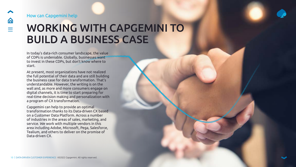## WORKING WITH CAPGEMINI TO BUILD A BUSINESS CASE

### <span id="page-9-0"></span>How can Capgemini help

In today's data-rich consumer landscape, the value of CDPs is undeniable. Globally, businesses want to invest in these CDPs, but don't know where to start.

At present, most organizations have not realized the full potential of their data and are still building the business case for data transformation. That's understandable. However, the writing is on the wall and, as more and more consumers engage on digital channels, it is time to start preparing for real-time decision making and personalization with a program of CX transformation.

Capgemini can help to provide an optimal transformation thanks to its Data-driven CX based on a Customer Data Platform. Across a number of industries in the areas of sales, marketing, and service. We work with multiple vendors in this area including Adobe, Microsoft, Pega, Salesforce, Tealium, and others to deliver on the promise of Data-driven CX.

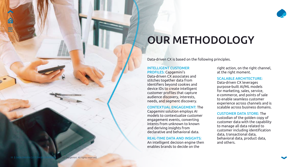## OUR METHODOLOGY

### INTELLIGENT CUSTOMER PROFILES: Capgemini's

Data-driven CX associates and stitches together data from identifiers beyond cookies and device IDs to create intelligent customer profiles that capture audience discovery, interests, needs, and segment discovery.

### CONTEXTUAL ENGAGEMENT: The

Capgemini solution employs AI models to contextualize customer engagement events, converting intents from unknown to known and deriving insights from declarative and behavioral data.

#### REAL-TIME DATA AND INSIGHTS:

An intelligent decision engine then enables brands to decide on the

Data-driven CX is based on the following principles.

right action, on the right channel, at the right moment.

### SCALABLE ARCHITECTURE:



Data-driven CX leverages purpose-built AI/ML models for marketing, sales, service, e-commerce, and points of sale to enable seamless customer experience across channels and is scalable across business domains.

CUSTOMER DATA STORE: The custodian of the golden copy of customer data with the capability to manage all data related to customer including identification data, transactional data, behavioral data, product data, and others.

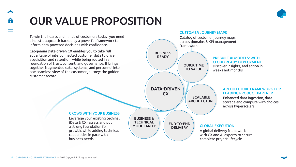# OUR VALUE PROPOSITION

To win the hearts and minds of customers today, you need a holistic approach backed by a powerful framework to inform data-powered decisions with confidence.

Capgemini Data-driven CX enables you to take full advantage of interconnected customer data to drive acquisition and retention, while being rooted in a foundation of trust, consent, and governance. It brings together fragmented data, systems, and personnel into one seamless view of the customer journey: the golden customer record.

### GROWS WITH YOUR BUSINESS

Leverage your existing techinal (Data & CX) assets and put a strong foundation for growth, while adding technical capabilities in pace with business needs



### PREBUILT AI MODELS: WITH

Discover insights, and action in

### ARCHITECTURE FRAMEWORK FOR LEADING PRODUCT PARTNER

Enhanced data ingestion, data storage and compute with choices across hyperscalers